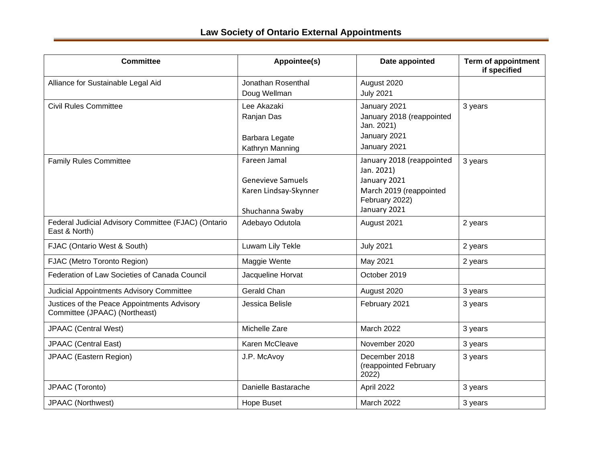| <b>Committee</b>                                                             | Appointee(s)             | Date appointed                                  | <b>Term of appointment</b><br>if specified |
|------------------------------------------------------------------------------|--------------------------|-------------------------------------------------|--------------------------------------------|
| Alliance for Sustainable Legal Aid                                           | Jonathan Rosenthal       | August 2020                                     |                                            |
|                                                                              | Doug Wellman             | <b>July 2021</b>                                |                                            |
| <b>Civil Rules Committee</b>                                                 | Lee Akazaki              | January 2021                                    | 3 years                                    |
|                                                                              | Ranjan Das               | January 2018 (reappointed<br>Jan. 2021)         |                                            |
|                                                                              | Barbara Legate           | January 2021                                    |                                            |
|                                                                              | Kathryn Manning          | January 2021                                    |                                            |
| <b>Family Rules Committee</b>                                                | Fareen Jamal             | January 2018 (reappointed<br>Jan. 2021)         | 3 years                                    |
|                                                                              | <b>Genevieve Samuels</b> | January 2021                                    |                                            |
|                                                                              | Karen Lindsay-Skynner    | March 2019 (reappointed<br>February 2022)       |                                            |
|                                                                              | Shuchanna Swaby          | January 2021                                    |                                            |
| Federal Judicial Advisory Committee (FJAC) (Ontario<br>East & North)         | Adebayo Odutola          | August 2021                                     | 2 years                                    |
| FJAC (Ontario West & South)                                                  | Luwam Lily Tekle         | <b>July 2021</b>                                | 2 years                                    |
| FJAC (Metro Toronto Region)                                                  | Maggie Wente             | May 2021                                        | 2 years                                    |
| Federation of Law Societies of Canada Council                                | Jacqueline Horvat        | October 2019                                    |                                            |
| Judicial Appointments Advisory Committee                                     | Gerald Chan              | August 2020                                     | 3 years                                    |
| Justices of the Peace Appointments Advisory<br>Committee (JPAAC) (Northeast) | Jessica Belisle          | February 2021                                   | 3 years                                    |
| <b>JPAAC (Central West)</b>                                                  | Michelle Zare            | March 2022                                      | 3 years                                    |
| <b>JPAAC</b> (Central East)                                                  | Karen McCleave           | November 2020                                   | 3 years                                    |
| <b>JPAAC</b> (Eastern Region)                                                | J.P. McAvoy              | December 2018<br>(reappointed February<br>2022) | 3 years                                    |
| JPAAC (Toronto)                                                              | Danielle Bastarache      | April 2022                                      | 3 years                                    |
| <b>JPAAC</b> (Northwest)                                                     | Hope Buset               | March 2022                                      | 3 years                                    |